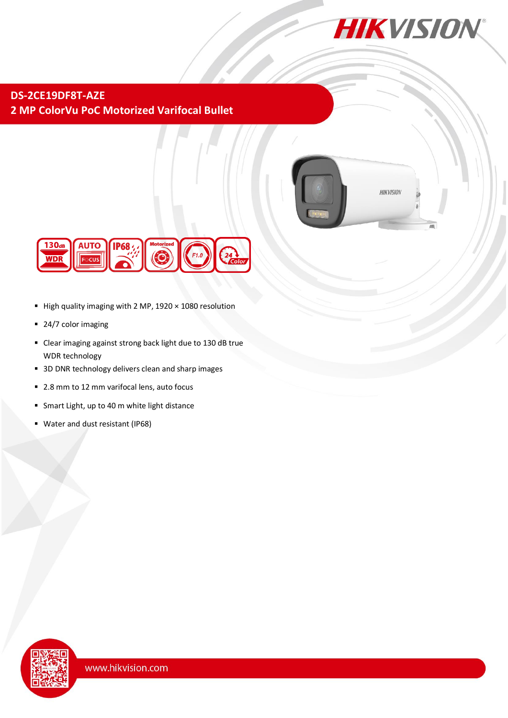

## **DS-2CE19DF8T-AZE 2 MP ColorVu PoC Motorized Varifocal Bullet**



**HIKVISION** 



- High quality imaging with 2 MP,  $1920 \times 1080$  resolution
- 24/7 color imaging
- Clear imaging against strong back light due to 130 dB true WDR technology
- 3D DNR technology delivers clean and sharp images
- 2.8 mm to 12 mm varifocal lens, auto focus
- **Smart Light, up to 40 m white light distance**
- Water and dust resistant (IP68)

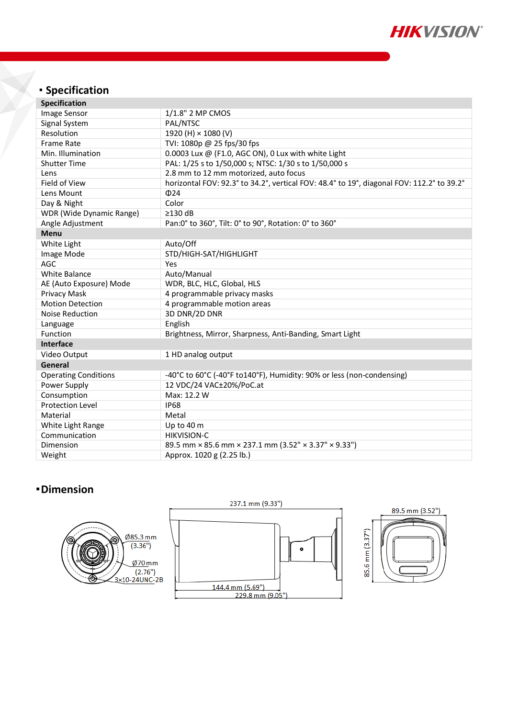

# **Specification**

| <b>Specification</b>            |                                                                                           |  |
|---------------------------------|-------------------------------------------------------------------------------------------|--|
| Image Sensor                    | 1/1.8" 2 MP CMOS                                                                          |  |
| Signal System                   | PAL/NTSC                                                                                  |  |
| Resolution                      | 1920 (H) × 1080 (V)                                                                       |  |
| <b>Frame Rate</b>               | TVI: 1080p @ 25 fps/30 fps                                                                |  |
| Min. Illumination               | 0.0003 Lux @ (F1.0, AGC ON), 0 Lux with white Light                                       |  |
| <b>Shutter Time</b>             | PAL: 1/25 s to 1/50,000 s; NTSC: 1/30 s to 1/50,000 s                                     |  |
| Lens                            | 2.8 mm to 12 mm motorized, auto focus                                                     |  |
| Field of View                   | horizontal FOV: 92.3° to 34.2°, vertical FOV: 48.4° to 19°, diagonal FOV: 112.2° to 39.2° |  |
| Lens Mount                      | $\Phi$ 24                                                                                 |  |
| Day & Night                     | Color                                                                                     |  |
| <b>WDR</b> (Wide Dynamic Range) | $\geq$ 130 dB                                                                             |  |
| Angle Adjustment                | Pan:0° to 360°, Tilt: 0° to 90°, Rotation: 0° to 360°                                     |  |
| <b>Menu</b>                     |                                                                                           |  |
| White Light                     | Auto/Off                                                                                  |  |
| Image Mode                      | STD/HIGH-SAT/HIGHLIGHT                                                                    |  |
| <b>AGC</b>                      | Yes                                                                                       |  |
| White Balance                   | Auto/Manual                                                                               |  |
| AE (Auto Exposure) Mode         | WDR, BLC, HLC, Global, HLS                                                                |  |
| Privacy Mask                    | 4 programmable privacy masks                                                              |  |
| <b>Motion Detection</b>         | 4 programmable motion areas                                                               |  |
| Noise Reduction                 | 3D DNR/2D DNR                                                                             |  |
| Language                        | English                                                                                   |  |
| Function                        | Brightness, Mirror, Sharpness, Anti-Banding, Smart Light                                  |  |
| <b>Interface</b>                |                                                                                           |  |
| Video Output                    | 1 HD analog output                                                                        |  |
| General                         |                                                                                           |  |
| <b>Operating Conditions</b>     | -40°C to 60°C (-40°F to140°F), Humidity: 90% or less (non-condensing)                     |  |
| Power Supply                    | 12 VDC/24 VAC±20%/PoC.at                                                                  |  |
| Consumption                     | Max: 12.2 W                                                                               |  |
| <b>Protection Level</b>         | <b>IP68</b>                                                                               |  |
| Material                        | Metal                                                                                     |  |
| White Light Range               | Up to 40 m                                                                                |  |
| Communication                   | <b>HIKVISION-C</b>                                                                        |  |
| Dimension                       | 89.5 mm × 85.6 mm × 237.1 mm (3.52" × 3.37" × 9.33")                                      |  |
| Weight                          | Approx. 1020 g (2.25 lb.)                                                                 |  |

### **Dimension**